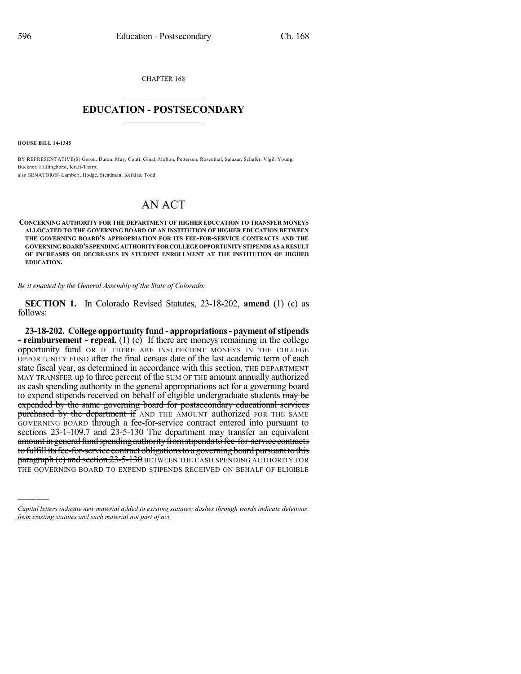CHAPTER 168  $\overline{\phantom{a}}$  . The set of the set of the set of the set of the set of the set of the set of the set of the set of the set of the set of the set of the set of the set of the set of the set of the set of the set of the set o

## **EDUCATION - POSTSECONDARY**  $\_$   $\_$   $\_$   $\_$   $\_$   $\_$   $\_$   $\_$   $\_$

**HOUSE BILL 14-1345**

)))))

BY REPRESENTATIVE(S) Gerou, Duran, May, Conti, Ginal, Melton, Pettersen, Rosenthal, Salazar, Schafer, Vigil, Young, Buckner, Hullinghorst, Kraft-Tharp; also SENATOR(S) Lambert, Hodge, Steadman, Kefalas, Todd.

## AN ACT

**CONCERNING AUTHORITY FOR THE DEPARTMENT OF HIGHER EDUCATION TO TRANSFER MONEYS ALLOCATED TO THE GOVERNING BOARD OF AN INSTITUTION OF HIGHER EDUCATION BETWEEN THE GOVERNING BOARD'S APPROPRIATION FOR ITS FEE-FOR-SERVICE CONTRACTS AND THE GOVERNINGBOARD'S SPENDINGAUTHORITYFORCOLLEGEOPPORTUNITYSTIPENDS AS ARESULT OF INCREASES OR DECREASES IN STUDENT ENROLLMENT AT THE INSTITUTION OF HIGHER EDUCATION.**

*Be it enacted by the General Assembly of the State of Colorado:*

**SECTION 1.** In Colorado Revised Statutes, 23-18-202, **amend** (1) (c) as follows:

**23-18-202. College opportunity fund - appropriations- payment ofstipends - reimbursement - repeal.** (1) (c) If there are moneys remaining in the college opportunity fund OR IF THERE ARE INSUFFICIENT MONEYS IN THE COLLEGE OPPORTUNITY FUND after the final census date of the last academic term of each state fiscal year, as determined in accordance with this section, THE DEPARTMENT MAY TRANSFER up to three percent of the SUM OF THE amount annually authorized as cash spending authority in the general appropriations act for a governing board to expend stipends received on behalf of eligible undergraduate students may be expended by the same governing board for postsecondary educational services purchased by the department if AND THE AMOUNT authorized FOR THE SAME GOVERNING BOARD through a fee-for-service contract entered into pursuant to sections  $23-1-109.7$  and  $23-5-130$  The department may transfer an equivalent amount in general fund spending authority from stipends to fee-for-service contracts to fulfill its fee-for-service contract obligations to a governing board pursuant to this **paragraph (c) and section 23-5-130** BETWEEN THE CASH SPENDING AUTHORITY FOR THE GOVERNING BOARD TO EXPEND STIPENDS RECEIVED ON BEHALF OF ELIGIBLE

*Capital letters indicate new material added to existing statutes; dashes through words indicate deletions from existing statutes and such material not part of act.*